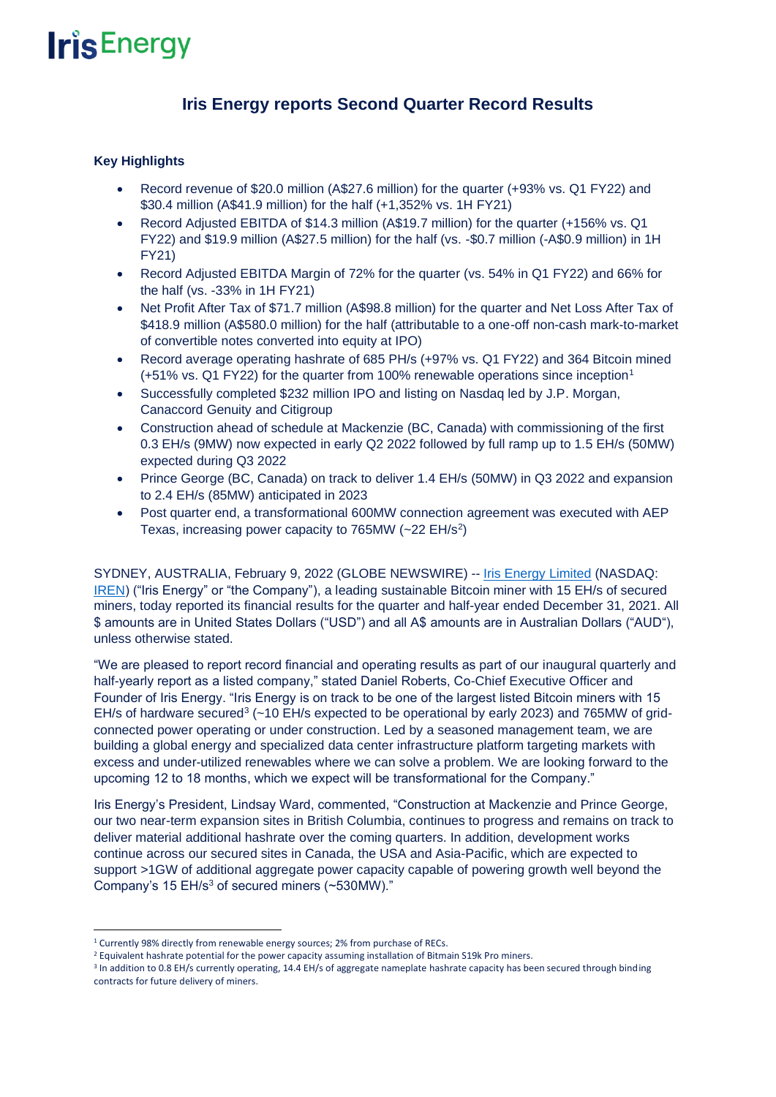# **Iris Energy reports Second Quarter Record Results**

## **Key Highlights**

- Record revenue of \$20.0 million (A\$27.6 million) for the quarter (+93% vs. Q1 FY22) and \$30.4 million (A\$41.9 million) for the half (+1,352% vs. 1H FY21)
- Record Adjusted EBITDA of \$14.3 million (A\$19.7 million) for the quarter (+156% vs. Q1 FY22) and \$19.9 million (A\$27.5 million) for the half (vs. -\$0.7 million (-A\$0.9 million) in 1H FY21)
- Record Adjusted EBITDA Margin of 72% for the quarter (vs. 54% in Q1 FY22) and 66% for the half (vs. -33% in 1H FY21)
- Net Profit After Tax of \$71.7 million (A\$98.8 million) for the quarter and Net Loss After Tax of \$418.9 million (A\$580.0 million) for the half (attributable to a one-off non-cash mark-to-market of convertible notes converted into equity at IPO)
- Record average operating hashrate of 685 PH/s (+97% vs. Q1 FY22) and 364 Bitcoin mined (+51% vs. Q1 FY22) for the quarter from 100% renewable operations since inception<sup>1</sup>
- Successfully completed \$232 million IPO and listing on Nasdaq led by J.P. Morgan, Canaccord Genuity and Citigroup
- Construction ahead of schedule at Mackenzie (BC, Canada) with commissioning of the first 0.3 EH/s (9MW) now expected in early Q2 2022 followed by full ramp up to 1.5 EH/s (50MW) expected during Q3 2022
- Prince George (BC, Canada) on track to deliver 1.4 EH/s (50MW) in Q3 2022 and expansion to 2.4 EH/s (85MW) anticipated in 2023
- Post quarter end, a transformational 600MW connection agreement was executed with AEP Texas, increasing power capacity to  $765MW$  ( $\sim$ 22 EH/s<sup>2</sup>)

SYDNEY, AUSTRALIA, February 9, 2022 (GLOBE NEWSWIRE) -- [Iris Energy Limited](https://irisenergy.co/) (NASDAQ: [IREN\)](https://www.globenewswire.com/en/search/organization/IRIS%2520ENERGY%2520LIMITED?page=1) ("Iris Energy" or "the Company"), a leading sustainable Bitcoin miner with 15 EH/s of secured miners, today reported its financial results for the quarter and half-year ended December 31, 2021. All \$ amounts are in United States Dollars ("USD") and all A\$ amounts are in Australian Dollars ("AUD"), unless otherwise stated.

"We are pleased to report record financial and operating results as part of our inaugural quarterly and half-yearly report as a listed company," stated Daniel Roberts, Co-Chief Executive Officer and Founder of Iris Energy. "Iris Energy is on track to be one of the largest listed Bitcoin miners with 15 EH/s of hardware secured<sup>3</sup> (~10 EH/s expected to be operational by early 2023) and 765MW of gridconnected power operating or under construction. Led by a seasoned management team, we are building a global energy and specialized data center infrastructure platform targeting markets with excess and under-utilized renewables where we can solve a problem. We are looking forward to the upcoming 12 to 18 months, which we expect will be transformational for the Company."

Iris Energy's President, Lindsay Ward, commented, "Construction at Mackenzie and Prince George, our two near-term expansion sites in British Columbia, continues to progress and remains on track to deliver material additional hashrate over the coming quarters. In addition, development works continue across our secured sites in Canada, the USA and Asia-Pacific, which are expected to support >1GW of additional aggregate power capacity capable of powering growth well beyond the Company's 15 EH/s $3$  of secured miners (~530MW)."

<sup>&</sup>lt;sup>1</sup> Currently 98% directly from renewable energy sources; 2% from purchase of RECs.

<sup>&</sup>lt;sup>2</sup> Equivalent hashrate potential for the power capacity assuming installation of Bitmain S19k Pro miners.

<sup>&</sup>lt;sup>3</sup> In addition to 0.8 EH/s currently operating, 14.4 EH/s of aggregate nameplate hashrate capacity has been secured through binding contracts for future delivery of miners.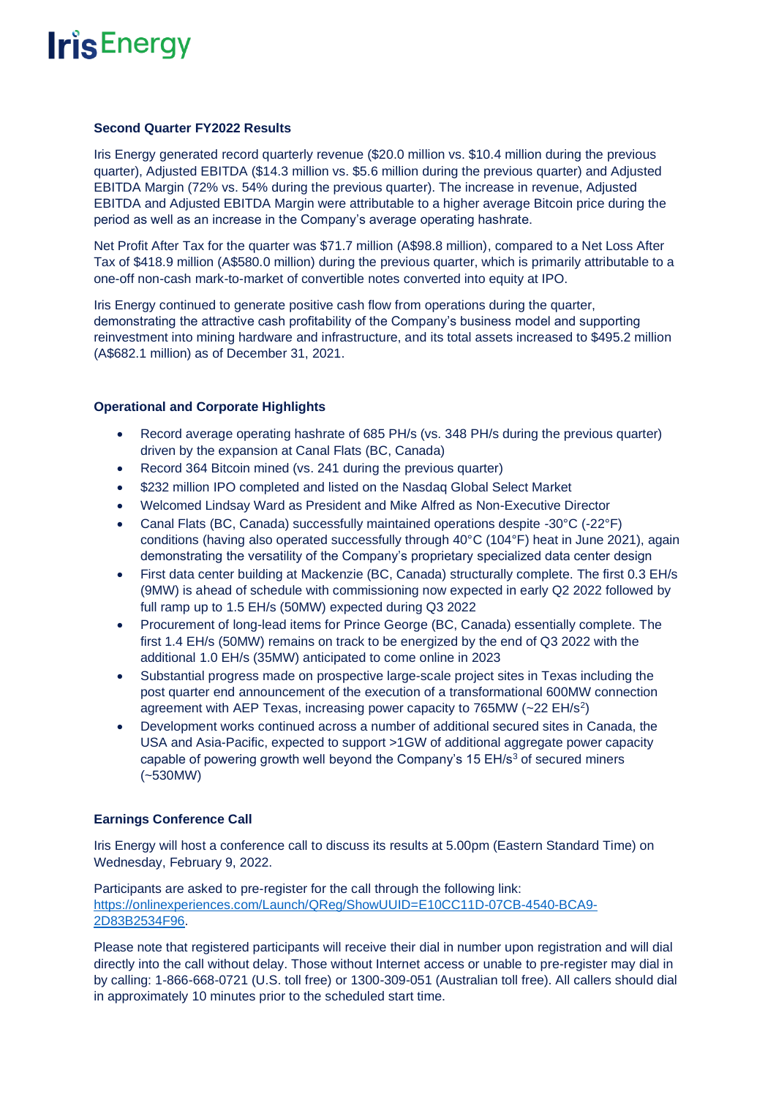#### **Second Quarter FY2022 Results**

Iris Energy generated record quarterly revenue (\$20.0 million vs. \$10.4 million during the previous quarter), Adjusted EBITDA (\$14.3 million vs. \$5.6 million during the previous quarter) and Adjusted EBITDA Margin (72% vs. 54% during the previous quarter). The increase in revenue, Adjusted EBITDA and Adjusted EBITDA Margin were attributable to a higher average Bitcoin price during the period as well as an increase in the Company's average operating hashrate.

Net Profit After Tax for the quarter was \$71.7 million (A\$98.8 million), compared to a Net Loss After Tax of \$418.9 million (A\$580.0 million) during the previous quarter, which is primarily attributable to a one-off non-cash mark-to-market of convertible notes converted into equity at IPO.

Iris Energy continued to generate positive cash flow from operations during the quarter, demonstrating the attractive cash profitability of the Company's business model and supporting reinvestment into mining hardware and infrastructure, and its total assets increased to \$495.2 million (A\$682.1 million) as of December 31, 2021.

### **Operational and Corporate Highlights**

- Record average operating hashrate of 685 PH/s (vs. 348 PH/s during the previous quarter) driven by the expansion at Canal Flats (BC, Canada)
- Record 364 Bitcoin mined (vs. 241 during the previous quarter)
- \$232 million IPO completed and listed on the Nasdaq Global Select Market
- Welcomed Lindsay Ward as President and Mike Alfred as Non-Executive Director
- Canal Flats (BC, Canada) successfully maintained operations despite -30°C (-22°F) conditions (having also operated successfully through 40°C (104°F) heat in June 2021), again demonstrating the versatility of the Company's proprietary specialized data center design
- First data center building at Mackenzie (BC, Canada) structurally complete. The first 0.3 EH/s (9MW) is ahead of schedule with commissioning now expected in early Q2 2022 followed by full ramp up to 1.5 EH/s (50MW) expected during Q3 2022
- Procurement of long-lead items for Prince George (BC, Canada) essentially complete. The first 1.4 EH/s (50MW) remains on track to be energized by the end of Q3 2022 with the additional 1.0 EH/s (35MW) anticipated to come online in 2023
- Substantial progress made on prospective large-scale project sites in Texas including the post quarter end announcement of the execution of a transformational 600MW connection agreement with AEP Texas, increasing power capacity to 765MW ( $\sim$ 22 EH/s<sup>2</sup>)
- Development works continued across a number of additional secured sites in Canada, the USA and Asia-Pacific, expected to support >1GW of additional aggregate power capacity capable of powering growth well beyond the Company's 15 EH/s<sup>3</sup> of secured miners (~530MW)

### **Earnings Conference Call**

Iris Energy will host a conference call to discuss its results at 5.00pm (Eastern Standard Time) on Wednesday, February 9, 2022.

Participants are asked to pre-register for the call through the following link: [https://onlinexperiences.com/Launch/QReg/ShowUUID=E10CC11D-07CB-4540-BCA9-](https://onlinexperiences.com/Launch/QReg/ShowUUID=E10CC11D-07CB-4540-BCA9-2D83B2534F96) [2D83B2534F96.](https://onlinexperiences.com/Launch/QReg/ShowUUID=E10CC11D-07CB-4540-BCA9-2D83B2534F96)

Please note that registered participants will receive their dial in number upon registration and will dial directly into the call without delay. Those without Internet access or unable to pre-register may dial in by calling: 1-866-668-0721 (U.S. toll free) or 1300-309-051 (Australian toll free). All callers should dial in approximately 10 minutes prior to the scheduled start time.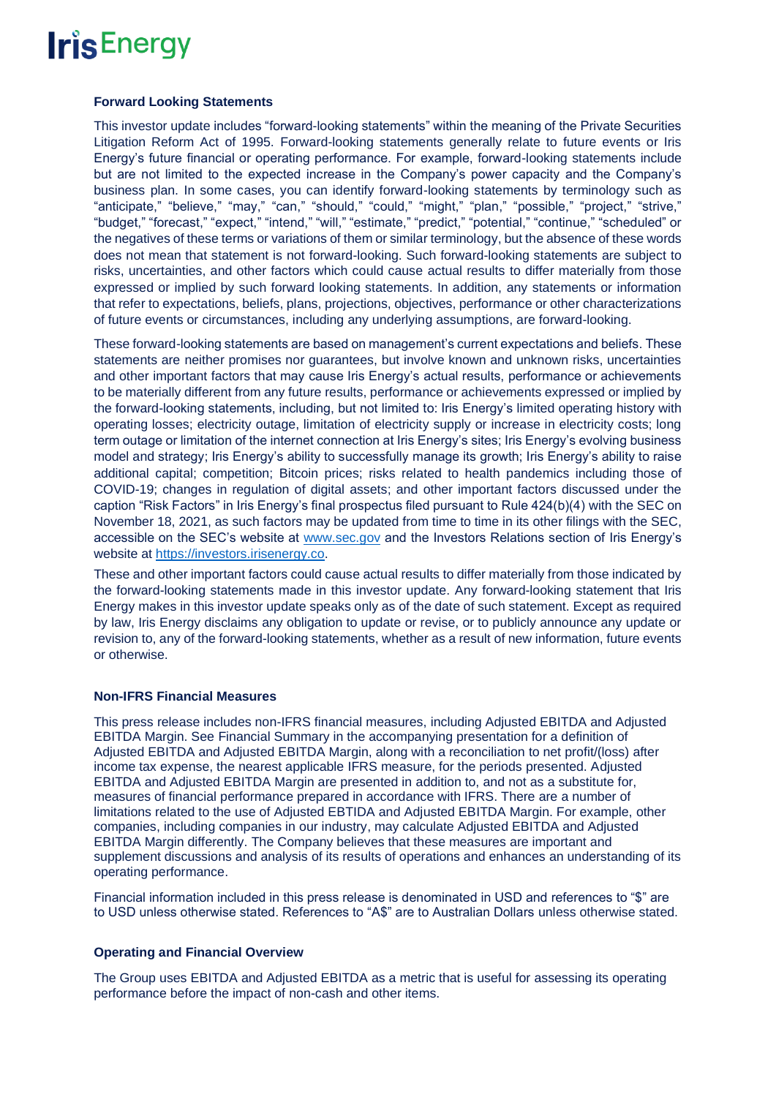### **Forward Looking Statements**

This investor update includes "forward-looking statements" within the meaning of the Private Securities Litigation Reform Act of 1995. Forward-looking statements generally relate to future events or Iris Energy's future financial or operating performance. For example, forward-looking statements include but are not limited to the expected increase in the Company's power capacity and the Company's business plan. In some cases, you can identify forward-looking statements by terminology such as "anticipate," "believe," "may," "can," "should," "could," "might," "plan," "possible," "project," "strive," "budget," "forecast," "expect," "intend," "will," "estimate," "predict," "potential," "continue," "scheduled" or the negatives of these terms or variations of them or similar terminology, but the absence of these words does not mean that statement is not forward-looking. Such forward-looking statements are subject to risks, uncertainties, and other factors which could cause actual results to differ materially from those expressed or implied by such forward looking statements. In addition, any statements or information that refer to expectations, beliefs, plans, projections, objectives, performance or other characterizations of future events or circumstances, including any underlying assumptions, are forward-looking.

These forward-looking statements are based on management's current expectations and beliefs. These statements are neither promises nor guarantees, but involve known and unknown risks, uncertainties and other important factors that may cause Iris Energy's actual results, performance or achievements to be materially different from any future results, performance or achievements expressed or implied by the forward-looking statements, including, but not limited to: Iris Energy's limited operating history with operating losses; electricity outage, limitation of electricity supply or increase in electricity costs; long term outage or limitation of the internet connection at Iris Energy's sites; Iris Energy's evolving business model and strategy; Iris Energy's ability to successfully manage its growth; Iris Energy's ability to raise additional capital; competition; Bitcoin prices; risks related to health pandemics including those of COVID-19; changes in regulation of digital assets; and other important factors discussed under the caption "Risk Factors" in Iris Energy's final prospectus filed pursuant to Rule 424(b)(4) with the SEC on November 18, 2021, as such factors may be updated from time to time in its other filings with the SEC, accessible on the SEC's website at [www.sec.gov](http://www.sec.gov/) and the Investors Relations section of Iris Energy's website at [https://investors.irisenergy.co.](https://investors.irisenergy.co/)

These and other important factors could cause actual results to differ materially from those indicated by the forward-looking statements made in this investor update. Any forward-looking statement that Iris Energy makes in this investor update speaks only as of the date of such statement. Except as required by law, Iris Energy disclaims any obligation to update or revise, or to publicly announce any update or revision to, any of the forward-looking statements, whether as a result of new information, future events or otherwise.

### **Non-IFRS Financial Measures**

This press release includes non-IFRS financial measures, including Adjusted EBITDA and Adjusted EBITDA Margin. See Financial Summary in the accompanying presentation for a definition of Adjusted EBITDA and Adjusted EBITDA Margin, along with a reconciliation to net profit/(loss) after income tax expense, the nearest applicable IFRS measure, for the periods presented. Adjusted EBITDA and Adjusted EBITDA Margin are presented in addition to, and not as a substitute for, measures of financial performance prepared in accordance with IFRS. There are a number of limitations related to the use of Adjusted EBTIDA and Adjusted EBITDA Margin. For example, other companies, including companies in our industry, may calculate Adjusted EBITDA and Adjusted EBITDA Margin differently. The Company believes that these measures are important and supplement discussions and analysis of its results of operations and enhances an understanding of its operating performance.

Financial information included in this press release is denominated in USD and references to "\$" are to USD unless otherwise stated. References to "A\$" are to Australian Dollars unless otherwise stated.

### **Operating and Financial Overview**

The Group uses EBITDA and Adjusted EBITDA as a metric that is useful for assessing its operating performance before the impact of non-cash and other items.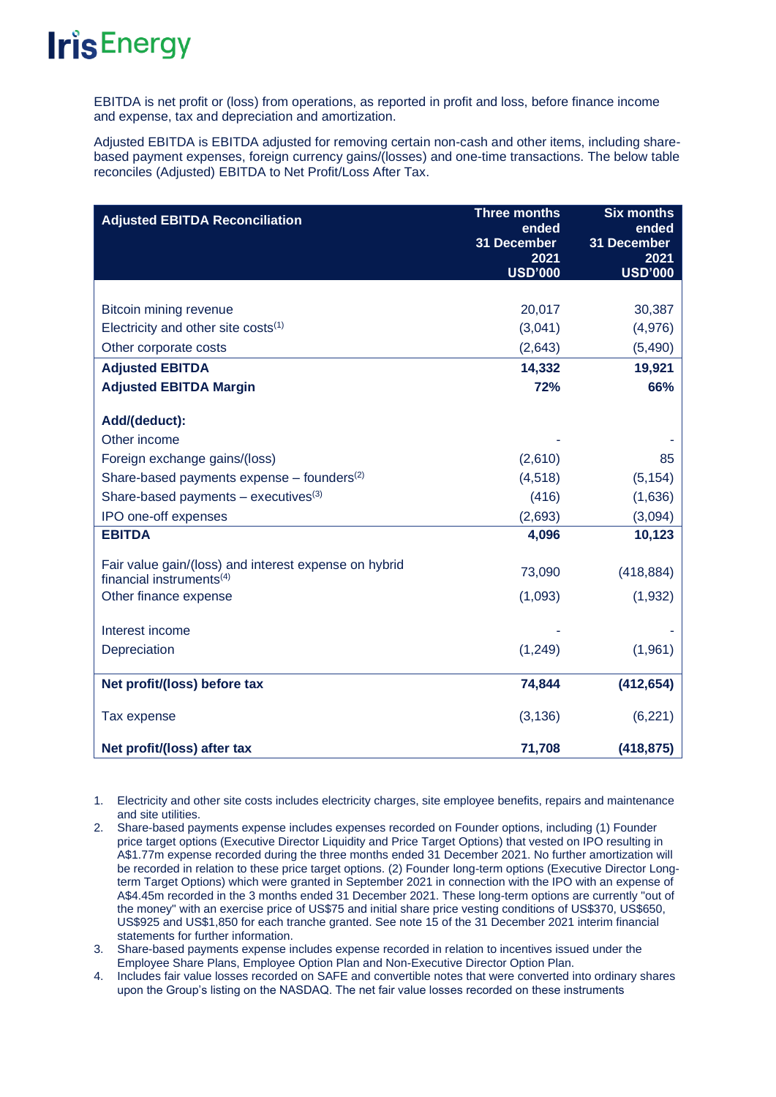EBITDA is net profit or (loss) from operations, as reported in profit and loss, before finance income and expense, tax and depreciation and amortization.

Adjusted EBITDA is EBITDA adjusted for removing certain non-cash and other items, including sharebased payment expenses, foreign currency gains/(losses) and one-time transactions. The below table reconciles (Adjusted) EBITDA to Net Profit/Loss After Tax.

| <b>Adjusted EBITDA Reconciliation</b>                    | <b>Three months</b>  | <b>Six months</b>    |
|----------------------------------------------------------|----------------------|----------------------|
|                                                          | ended<br>31 December | ended<br>31 December |
|                                                          | 2021                 | 2021                 |
|                                                          | <b>USD'000</b>       | <b>USD'000</b>       |
|                                                          |                      |                      |
| <b>Bitcoin mining revenue</b>                            | 20,017               | 30,387               |
| Electricity and other site costs $(1)$                   | (3,041)              | (4,976)              |
| Other corporate costs                                    | (2,643)              | (5,490)              |
| <b>Adjusted EBITDA</b>                                   | 14,332               | 19,921               |
| <b>Adjusted EBITDA Margin</b>                            | 72%                  | 66%                  |
|                                                          |                      |                      |
| Add/(deduct):                                            |                      |                      |
| Other income                                             |                      |                      |
| Foreign exchange gains/(loss)                            | (2,610)              | 85                   |
| Share-based payments expense $-$ founders <sup>(2)</sup> | (4, 518)             | (5, 154)             |
| Share-based payments $-$ executives <sup>(3)</sup>       | (416)                | (1,636)              |
| IPO one-off expenses                                     | (2,693)              | (3,094)              |
| <b>EBITDA</b>                                            | 4,096                | 10,123               |
| Fair value gain/(loss) and interest expense on hybrid    |                      |                      |
| financial instruments $(4)$                              | 73,090               | (418, 884)           |
| Other finance expense                                    | (1,093)              | (1,932)              |
|                                                          |                      |                      |
| Interest income                                          |                      |                      |
| Depreciation                                             | (1,249)              | (1,961)              |
| Net profit/(loss) before tax                             | 74,844               | (412, 654)           |
| Tax expense                                              | (3, 136)             | (6, 221)             |
| Net profit/(loss) after tax                              | 71,708               | (418, 875)           |

1. Electricity and other site costs includes electricity charges, site employee benefits, repairs and maintenance and site utilities.

2. Share-based payments expense includes expenses recorded on Founder options, including (1) Founder price target options (Executive Director Liquidity and Price Target Options) that vested on IPO resulting in A\$1.77m expense recorded during the three months ended 31 December 2021. No further amortization will be recorded in relation to these price target options. (2) Founder long-term options (Executive Director Longterm Target Options) which were granted in September 2021 in connection with the IPO with an expense of A\$4.45m recorded in the 3 months ended 31 December 2021. These long-term options are currently "out of the money" with an exercise price of US\$75 and initial share price vesting conditions of US\$370, US\$650, US\$925 and US\$1,850 for each tranche granted. See note 15 of the 31 December 2021 interim financial statements for further information.

3. Share-based payments expense includes expense recorded in relation to incentives issued under the Employee Share Plans, Employee Option Plan and Non-Executive Director Option Plan.

4. Includes fair value losses recorded on SAFE and convertible notes that were converted into ordinary shares upon the Group's listing on the NASDAQ. The net fair value losses recorded on these instruments